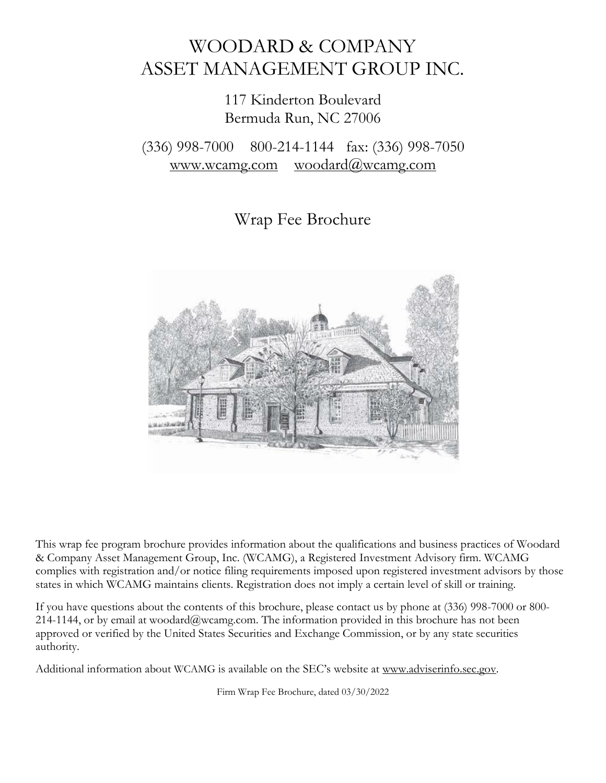# WOODARD & COMPANY ASSET MANAGEMENT GROUP INC.

# 117 Kinderton Boulevard Bermuda Run, NC 27006

# (336) 998-7000 800-214-1144 fax: (336) 998-7050 [www.wcamg.com](http://www.wcamg.com/) [woodard@wcamg.com](mailto:woodard@wcamg.com)

# Wrap Fee Brochure



This wrap fee program brochure provides information about the qualifications and business practices of Woodard & Company Asset Management Group, Inc. (WCAMG), a Registered Investment Advisory firm. WCAMG complies with registration and/or notice filing requirements imposed upon registered investment advisors by those states in which WCAMG maintains clients. Registration does not imply a certain level of skill or training.

If you have questions about the contents of this brochure, please contact us by phone at (336) 998-7000 or 800- 214-1144, or by email at [woodard@wcamg.com. T](mailto:woodard@wcamg.com)he information provided in this brochure has not been approved or verified by the United States Securities and Exchange Commission, or by any state securities authority.

Additional information about WCAMG is available on the SEC's website at [www.adviserinfo.sec.gov.](http://www.adviserinfo.sec.gov/)

Firm Wrap Fee Brochure, dated 03/30/2022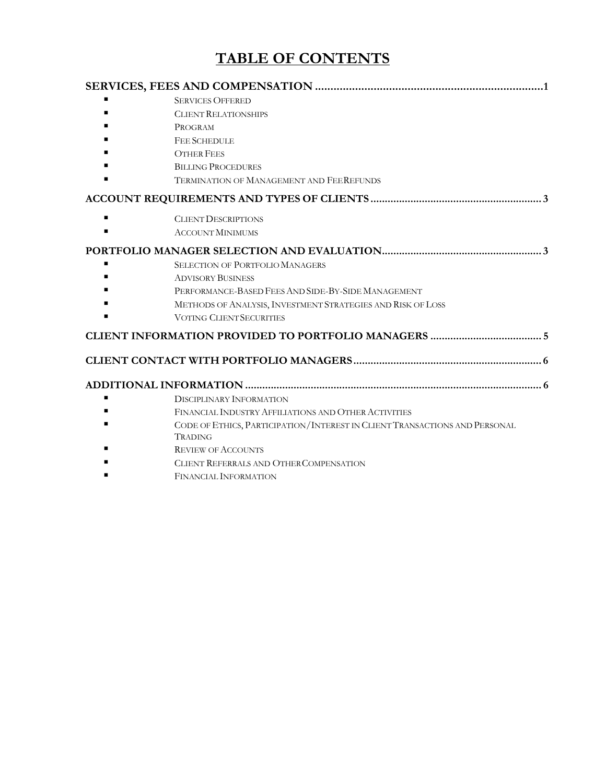# **TABLE OF CONTENTS**

|   | <b>SERVICES OFFERED</b>                                                                                                                                                                                                    |  |  |
|---|----------------------------------------------------------------------------------------------------------------------------------------------------------------------------------------------------------------------------|--|--|
|   | <b>CLIENT RELATIONSHIPS</b>                                                                                                                                                                                                |  |  |
|   | PROGRAM                                                                                                                                                                                                                    |  |  |
|   | <b>FEE SCHEDULE</b>                                                                                                                                                                                                        |  |  |
|   | <b>OTHER FEES</b>                                                                                                                                                                                                          |  |  |
|   | <b>BILLING PROCEDURES</b>                                                                                                                                                                                                  |  |  |
|   | <b>TERMINATION OF MANAGEMENT AND FEEREFUNDS</b>                                                                                                                                                                            |  |  |
|   |                                                                                                                                                                                                                            |  |  |
|   | <b>CLIENT DESCRIPTIONS</b>                                                                                                                                                                                                 |  |  |
|   | <b>ACCOUNT MINIMUMS</b>                                                                                                                                                                                                    |  |  |
| ٠ | <b>SELECTION OF PORTFOLIO MANAGERS</b><br><b>ADVISORY BUSINESS</b><br>PERFORMANCE-BASED FEES AND SIDE-BY-SIDE MANAGEMENT<br>METHODS OF ANALYSIS, INVESTMENT STRATEGIES AND RISK OF LOSS<br><b>VOTING CLIENT SECURITIES</b> |  |  |
|   |                                                                                                                                                                                                                            |  |  |
|   |                                                                                                                                                                                                                            |  |  |
|   |                                                                                                                                                                                                                            |  |  |
|   | <b>DISCIPLINARY INFORMATION</b>                                                                                                                                                                                            |  |  |
|   | FINANCIAL INDUSTRY AFFILIATIONS AND OTHER ACTIVITIES                                                                                                                                                                       |  |  |
|   | CODE OF ETHICS, PARTICIPATION/INTEREST IN CLIENT TRANSACTIONS AND PERSONAL<br>TRADING                                                                                                                                      |  |  |
|   | <b>REVIEW OF ACCOUNTS</b>                                                                                                                                                                                                  |  |  |
|   | CLIENT REFERRALS AND OTHER COMPENSATION                                                                                                                                                                                    |  |  |
|   | <b>FINANCIAL INFORMATION</b>                                                                                                                                                                                               |  |  |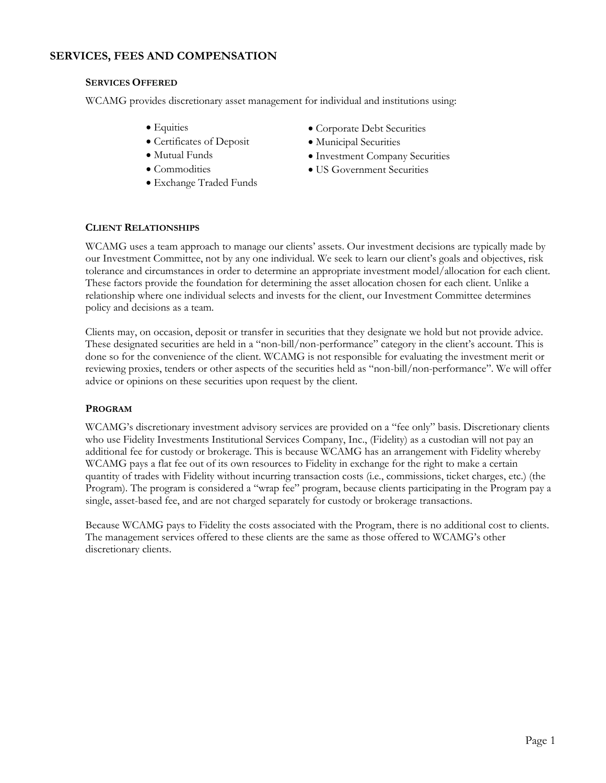# **SERVICES, FEES AND COMPENSATION**

## **SERVICES OFFERED**

WCAMG provides discretionary asset management for individual and institutions using:

- Equities
- Certificates of Deposit
- Mutual Funds
- Commodities
- Exchange Traded Funds
- Corporate Debt Securities
- Municipal Securities
- Investment Company Securities
- US Government Securities

# **CLIENT RELATIONSHIPS**

WCAMG uses a team approach to manage our clients' assets. Our investment decisions are typically made by our Investment Committee, not by any one individual. We seek to learn our client's goals and objectives, risk tolerance and circumstances in order to determine an appropriate investment model/allocation for each client. These factors provide the foundation for determining the asset allocation chosen for each client. Unlike a relationship where one individual selects and invests for the client, our Investment Committee determines policy and decisions as a team.

Clients may, on occasion, deposit or transfer in securities that they designate we hold but not provide advice. These designated securities are held in a "non-bill/non-performance" category in the client's account. This is done so for the convenience of the client. WCAMG is not responsible for evaluating the investment merit or reviewing proxies, tenders or other aspects of the securities held as "non-bill/non-performance". We will offer advice or opinions on these securities upon request by the client.

# **PROGRAM**

WCAMG's discretionary investment advisory services are provided on a "fee only" basis. Discretionary clients who use Fidelity Investments Institutional Services Company, Inc., (Fidelity) as a custodian will not pay an additional fee for custody or brokerage. This is because WCAMG has an arrangement with Fidelity whereby WCAMG pays a flat fee out of its own resources to Fidelity in exchange for the right to make a certain quantity of trades with Fidelity without incurring transaction costs (i.e., commissions, ticket charges, etc.) (the Program). The program is considered a "wrap fee" program, because clients participating in the Program pay a single, asset-based fee, and are not charged separately for custody or brokerage transactions.

Because WCAMG pays to Fidelity the costs associated with the Program, there is no additional cost to clients. The management services offered to these clients are the same as those offered to WCAMG's other discretionary clients.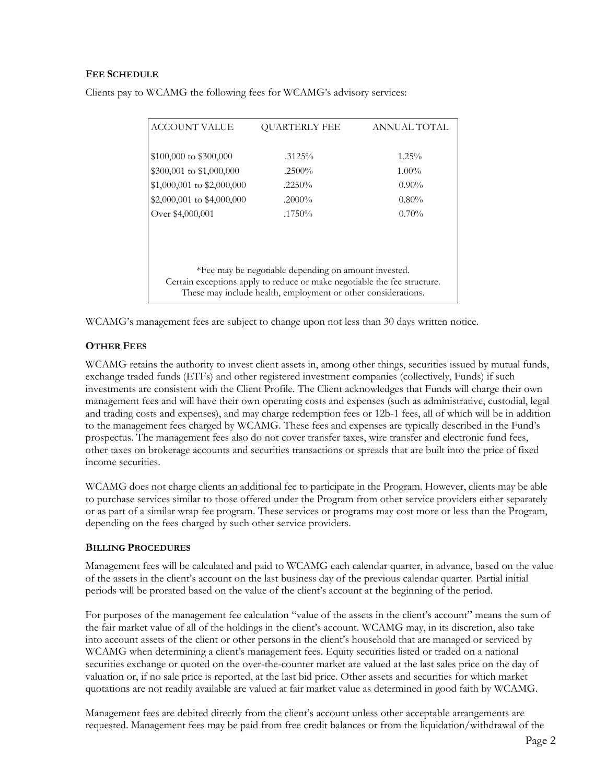## **FEE SCHEDULE**

| <b>ACCOUNT VALUE</b>                                                                                                                      | <b>OUARTERLY FEE</b> | ANNUAL TOTAL |  |
|-------------------------------------------------------------------------------------------------------------------------------------------|----------------------|--------------|--|
| $$100,000$ to $$300,000$                                                                                                                  | $.3125\%$            | $1.25\%$     |  |
| \$300,001 to \$1,000,000                                                                                                                  | $.2500\%$            | $1.00\%$     |  |
| $$1,000,001$ to $$2,000,000$                                                                                                              | $.2250\%$            | $0.90\%$     |  |
| $$2,000,001$ to $$4,000,000$                                                                                                              | $.2000\%$            | $0.80\%$     |  |
| Over \$4,000,001                                                                                                                          | $.1750\%$            | $0.70\%$     |  |
|                                                                                                                                           |                      |              |  |
|                                                                                                                                           |                      |              |  |
|                                                                                                                                           |                      |              |  |
| *Fee may be negotiable depending on amount invested.                                                                                      |                      |              |  |
| Certain exceptions apply to reduce or make negotiable the fee structure.<br>These may include health, employment or other considerations. |                      |              |  |

Clients pay to WCAMG the following fees for WCAMG's advisory services:

WCAMG's management fees are subject to change upon not less than 30 days written notice.

# **OTHER FEES**

WCAMG retains the authority to invest client assets in, among other things, securities issued by mutual funds, exchange traded funds (ETFs) and other registered investment companies (collectively, Funds) if such investments are consistent with the Client Profile. The Client acknowledges that Funds will charge their own management fees and will have their own operating costs and expenses (such as administrative, custodial, legal and trading costs and expenses), and may charge redemption fees or 12b-1 fees, all of which will be in addition to the management fees charged by WCAMG. These fees and expenses are typically described in the Fund's prospectus. The management fees also do not cover transfer taxes, wire transfer and electronic fund fees, other taxes on brokerage accounts and securities transactions or spreads that are built into the price of fixed income securities.

WCAMG does not charge clients an additional fee to participate in the Program. However, clients may be able to purchase services similar to those offered under the Program from other service providers either separately or as part of a similar wrap fee program. These services or programs may cost more or less than the Program, depending on the fees charged by such other service providers.

#### **BILLING PROCEDURES**

Management fees will be calculated and paid to WCAMG each calendar quarter, in advance, based on the value of the assets in the client's account on the last business day of the previous calendar quarter. Partial initial periods will be prorated based on the value of the client's account at the beginning of the period.

For purposes of the management fee calculation "value of the assets in the client's account" means the sum of the fair market value of all of the holdings in the client's account. WCAMG may, in its discretion, also take into account assets of the client or other persons in the client's household that are managed or serviced by WCAMG when determining a client's management fees. Equity securities listed or traded on a national securities exchange or quoted on the over-the-counter market are valued at the last sales price on the day of valuation or, if no sale price is reported, at the last bid price. Other assets and securities for which market quotations are not readily available are valued at fair market value as determined in good faith by WCAMG.

Management fees are debited directly from the client's account unless other acceptable arrangements are requested. Management fees may be paid from free credit balances or from the liquidation/withdrawal of the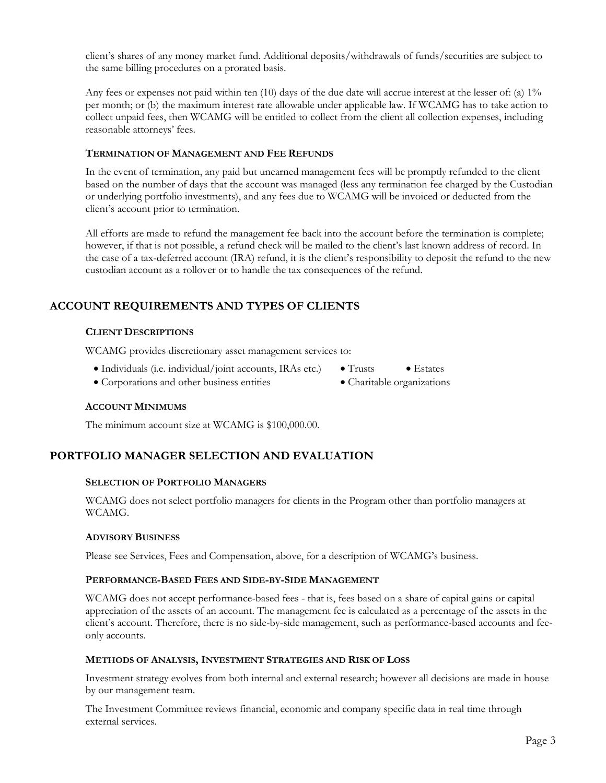client's shares of any money market fund. Additional deposits/withdrawals of funds/securities are subject to the same billing procedures on a prorated basis.

Any fees or expenses not paid within ten (10) days of the due date will accrue interest at the lesser of: (a) 1% per month; or (b) the maximum interest rate allowable under applicable law. If WCAMG has to take action to collect unpaid fees, then WCAMG will be entitled to collect from the client all collection expenses, including reasonable attorneys' fees.

## **TERMINATION OF MANAGEMENT AND FEE REFUNDS**

In the event of termination, any paid but unearned management fees will be promptly refunded to the client based on the number of days that the account was managed (less any termination fee charged by the Custodian or underlying portfolio investments), and any fees due to WCAMG will be invoiced or deducted from the client's account prior to termination.

All efforts are made to refund the management fee back into the account before the termination is complete; however, if that is not possible, a refund check will be mailed to the client's last known address of record. In the case of a tax-deferred account (IRA) refund, it is the client's responsibility to deposit the refund to the new custodian account as a rollover or to handle the tax consequences of the refund.

# **ACCOUNT REQUIREMENTS AND TYPES OF CLIENTS**

# **CLIENT DESCRIPTIONS**

WCAMG provides discretionary asset management services to:

- Individuals (i.e. individual/joint accounts, IRAs etc.) Trusts Estates
	-
- Corporations and other business entities Charitable organizations

# **ACCOUNT MINIMUMS**

The minimum account size at WCAMG is \$100,000.00.

# **PORTFOLIO MANAGER SELECTION AND EVALUATION**

#### **SELECTION OF PORTFOLIO MANAGERS**

WCAMG does not select portfolio managers for clients in the Program other than portfolio managers at WCAMG.

#### **ADVISORY BUSINESS**

Please see Services, Fees and Compensation, above, for a description of WCAMG's business.

#### **PERFORMANCE-BASED FEES AND SIDE-BY-SIDE MANAGEMENT**

WCAMG does not accept performance-based fees - that is, fees based on a share of capital gains or capital appreciation of the assets of an account. The management fee is calculated as a percentage of the assets in the client's account. Therefore, there is no side-by-side management, such as performance-based accounts and feeonly accounts.

#### **METHODS OF ANALYSIS, INVESTMENT STRATEGIES AND RISK OF LOSS**

Investment strategy evolves from both internal and external research; however all decisions are made in house by our management team.

The Investment Committee reviews financial, economic and company specific data in real time through external services.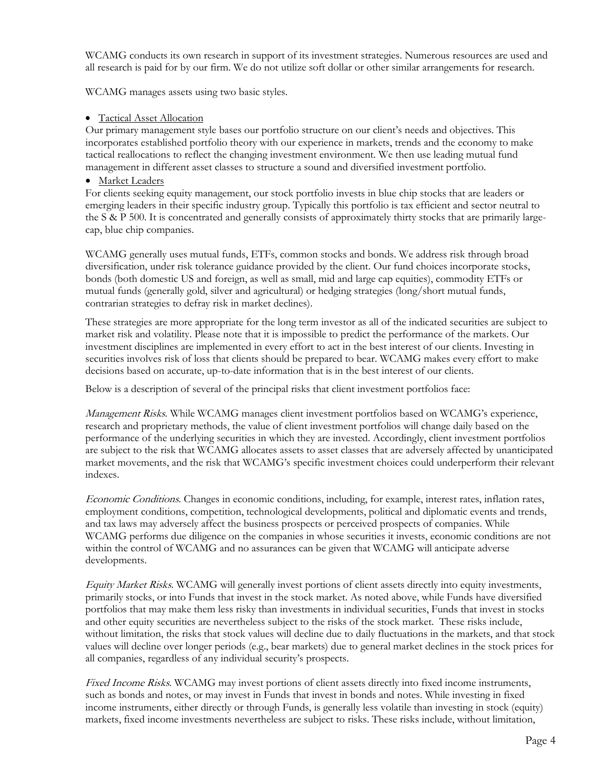WCAMG conducts its own research in support of its investment strategies. Numerous resources are used and all research is paid for by our firm. We do not utilize soft dollar or other similar arrangements for research.

WCAMG manages assets using two basic styles.

# • Tactical Asset Allocation

Our primary management style bases our portfolio structure on our client's needs and objectives. This incorporates established portfolio theory with our experience in markets, trends and the economy to make tactical reallocations to reflect the changing investment environment. We then use leading mutual fund management in different asset classes to structure a sound and diversified investment portfolio.

# • Market Leaders

For clients seeking equity management, our stock portfolio invests in blue chip stocks that are leaders or emerging leaders in their specific industry group. Typically this portfolio is tax efficient and sector neutral to the S & P 500. It is concentrated and generally consists of approximately thirty stocks that are primarily largecap, blue chip companies.

WCAMG generally uses mutual funds, ETFs, common stocks and bonds. We address risk through broad diversification, under risk tolerance guidance provided by the client. Our fund choices incorporate stocks, bonds (both domestic US and foreign, as well as small, mid and large cap equities), commodity ETFs or mutual funds (generally gold, silver and agricultural) or hedging strategies (long/short mutual funds, contrarian strategies to defray risk in market declines).

These strategies are more appropriate for the long term investor as all of the indicated securities are subject to market risk and volatility. Please note that it is impossible to predict the performance of the markets. Our investment disciplines are implemented in every effort to act in the best interest of our clients. Investing in securities involves risk of loss that clients should be prepared to bear. WCAMG makes every effort to make decisions based on accurate, up-to-date information that is in the best interest of our clients.

Below is a description of several of the principal risks that client investment portfolios face:

Management Risks. While WCAMG manages client investment portfolios based on WCAMG's experience, research and proprietary methods, the value of client investment portfolios will change daily based on the performance of the underlying securities in which they are invested. Accordingly, client investment portfolios are subject to the risk that WCAMG allocates assets to asset classes that are adversely affected by unanticipated market movements, and the risk that WCAMG's specific investment choices could underperform their relevant indexes.

Economic Conditions. Changes in economic conditions, including, for example, interest rates, inflation rates, employment conditions, competition, technological developments, political and diplomatic events and trends, and tax laws may adversely affect the business prospects or perceived prospects of companies. While WCAMG performs due diligence on the companies in whose securities it invests, economic conditions are not within the control of WCAMG and no assurances can be given that WCAMG will anticipate adverse developments.

Equity Market Risks. WCAMG will generally invest portions of client assets directly into equity investments, primarily stocks, or into Funds that invest in the stock market. As noted above, while Funds have diversified portfolios that may make them less risky than investments in individual securities, Funds that invest in stocks and other equity securities are nevertheless subject to the risks of the stock market. These risks include, without limitation, the risks that stock values will decline due to daily fluctuations in the markets, and that stock values will decline over longer periods (e.g., bear markets) due to general market declines in the stock prices for all companies, regardless of any individual security's prospects.

Fixed Income Risks. WCAMG may invest portions of client assets directly into fixed income instruments, such as bonds and notes, or may invest in Funds that invest in bonds and notes. While investing in fixed income instruments, either directly or through Funds, is generally less volatile than investing in stock (equity) markets, fixed income investments nevertheless are subject to risks. These risks include, without limitation,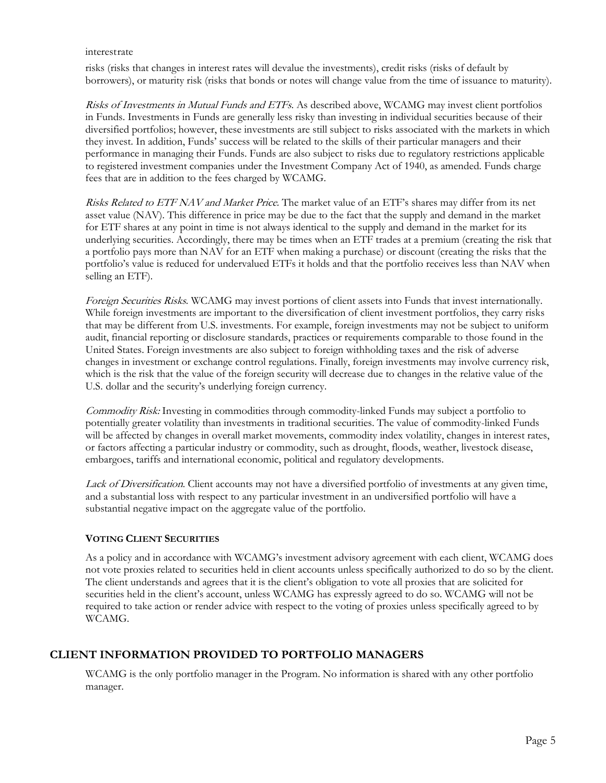#### interestrate

risks (risks that changes in interest rates will devalue the investments), credit risks (risks of default by borrowers), or maturity risk (risks that bonds or notes will change value from the time of issuance to maturity).

Risks of Investments in Mutual Funds and ETFs. As described above, WCAMG may invest client portfolios in Funds. Investments in Funds are generally less risky than investing in individual securities because of their diversified portfolios; however, these investments are still subject to risks associated with the markets in which they invest. In addition, Funds' success will be related to the skills of their particular managers and their performance in managing their Funds. Funds are also subject to risks due to regulatory restrictions applicable to registered investment companies under the Investment Company Act of 1940, as amended. Funds charge fees that are in addition to the fees charged by WCAMG.

Risks Related to ETF NAV and Market Price. The market value of an ETF's shares may differ from its net asset value (NAV). This difference in price may be due to the fact that the supply and demand in the market for ETF shares at any point in time is not always identical to the supply and demand in the market for its underlying securities. Accordingly, there may be times when an ETF trades at a premium (creating the risk that a portfolio pays more than NAV for an ETF when making a purchase) or discount (creating the risks that the portfolio's value is reduced for undervalued ETFs it holds and that the portfolio receives less than NAV when selling an ETF).

Foreign Securities Risks. WCAMG may invest portions of client assets into Funds that invest internationally. While foreign investments are important to the diversification of client investment portfolios, they carry risks that may be different from U.S. investments. For example, foreign investments may not be subject to uniform audit, financial reporting or disclosure standards, practices or requirements comparable to those found in the United States. Foreign investments are also subject to foreign withholding taxes and the risk of adverse changes in investment or exchange control regulations. Finally, foreign investments may involve currency risk, which is the risk that the value of the foreign security will decrease due to changes in the relative value of the U.S. dollar and the security's underlying foreign currency.

Commodity Risk: Investing in commodities through commodity-linked Funds may subject a portfolio to potentially greater volatility than investments in traditional securities. The value of commodity-linked Funds will be affected by changes in overall market movements, commodity index volatility, changes in interest rates, or factors affecting a particular industry or commodity, such as drought, floods, weather, livestock disease, embargoes, tariffs and international economic, political and regulatory developments.

Lack of Diversification. Client accounts may not have a diversified portfolio of investments at any given time, and a substantial loss with respect to any particular investment in an undiversified portfolio will have a substantial negative impact on the aggregate value of the portfolio.

# **VOTING CLIENT SECURITIES**

As a policy and in accordance with WCAMG's investment advisory agreement with each client, WCAMG does not vote proxies related to securities held in client accounts unless specifically authorized to do so by the client. The client understands and agrees that it is the client's obligation to vote all proxies that are solicited for securities held in the client's account, unless WCAMG has expressly agreed to do so. WCAMG will not be required to take action or render advice with respect to the voting of proxies unless specifically agreed to by WCAMG.

# **CLIENT INFORMATION PROVIDED TO PORTFOLIO MANAGERS**

WCAMG is the only portfolio manager in the Program. No information is shared with any other portfolio manager.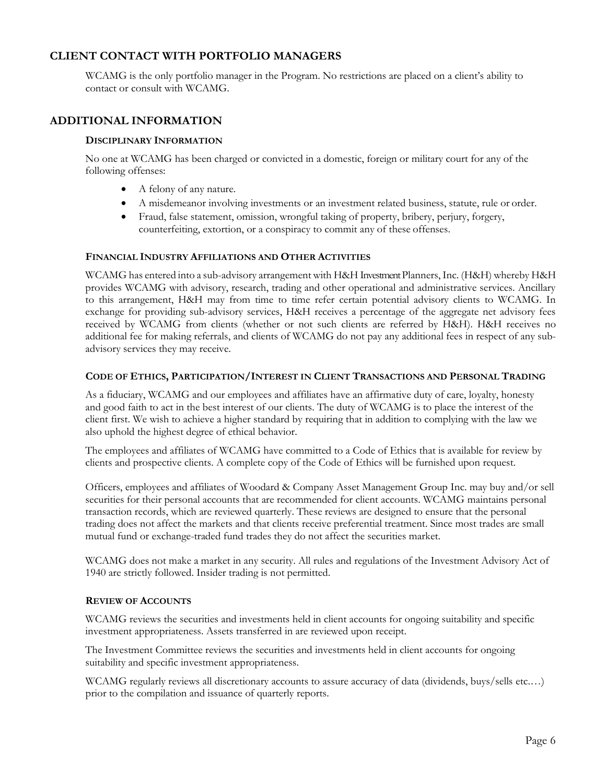# **CLIENT CONTACT WITH PORTFOLIO MANAGERS**

WCAMG is the only portfolio manager in the Program. No restrictions are placed on a client's ability to contact or consult with WCAMG.

# **ADDITIONAL INFORMATION**

## **DISCIPLINARY INFORMATION**

No one at WCAMG has been charged or convicted in a domestic, foreign or military court for any of the following offenses:

- A felony of any nature.
- A misdemeanor involving investments or an investment related business, statute, rule or order.
- Fraud, false statement, omission, wrongful taking of property, bribery, perjury, forgery, counterfeiting, extortion, or a conspiracy to commit any of these offenses.

### **FINANCIAL INDUSTRY AFFILIATIONS AND OTHER ACTIVITIES**

WCAMG has entered into a sub-advisory arrangement with H&H Investment Planners,Inc. (H&H) whereby H&H provides WCAMG with advisory, research, trading and other operational and administrative services. Ancillary to this arrangement, H&H may from time to time refer certain potential advisory clients to WCAMG. In exchange for providing sub-advisory services, H&H receives a percentage of the aggregate net advisory fees received by WCAMG from clients (whether or not such clients are referred by H&H). H&H receives no additional fee for making referrals, and clients of WCAMG do not pay any additional fees in respect of any subadvisory services they may receive.

### **CODE OF ETHICS, PARTICIPATION/INTEREST IN CLIENT TRANSACTIONS AND PERSONAL TRADING**

As a fiduciary, WCAMG and our employees and affiliates have an affirmative duty of care, loyalty, honesty and good faith to act in the best interest of our clients. The duty of WCAMG is to place the interest of the client first. We wish to achieve a higher standard by requiring that in addition to complying with the law we also uphold the highest degree of ethical behavior.

The employees and affiliates of WCAMG have committed to a Code of Ethics that is available for review by clients and prospective clients. A complete copy of the Code of Ethics will be furnished upon request.

Officers, employees and affiliates of Woodard & Company Asset Management Group Inc. may buy and/or sell securities for their personal accounts that are recommended for client accounts. WCAMG maintains personal transaction records, which are reviewed quarterly. These reviews are designed to ensure that the personal trading does not affect the markets and that clients receive preferential treatment. Since most trades are small mutual fund or exchange-traded fund trades they do not affect the securities market.

WCAMG does not make a market in any security. All rules and regulations of the Investment Advisory Act of 1940 are strictly followed. Insider trading is not permitted.

# **REVIEW OF ACCOUNTS**

WCAMG reviews the securities and investments held in client accounts for ongoing suitability and specific investment appropriateness. Assets transferred in are reviewed upon receipt.

The Investment Committee reviews the securities and investments held in client accounts for ongoing suitability and specific investment appropriateness.

WCAMG regularly reviews all discretionary accounts to assure accuracy of data (dividends, buys/sells etc....) prior to the compilation and issuance of quarterly reports.